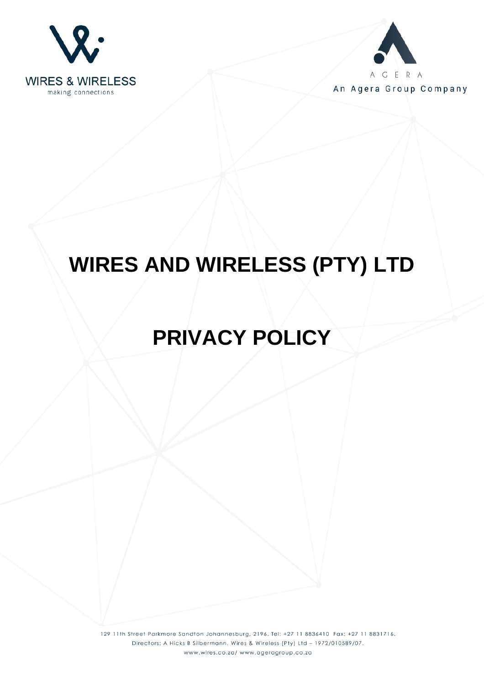



An Agera Group Company

# **WIRES AND WIRELESS (PTY) LTD**

# **PRIVACY POLICY**

129 11th Street Parkmore Sandton Johannesburg, 2196. Tel: +27 11 8836410 Fax: +27 11 8831716. Directors: A Hicks B Silbermann. Wires & Wireless (Pty) Ltd - 1972/010589/07. www.wires.co.za/ www.ageragroup.co.za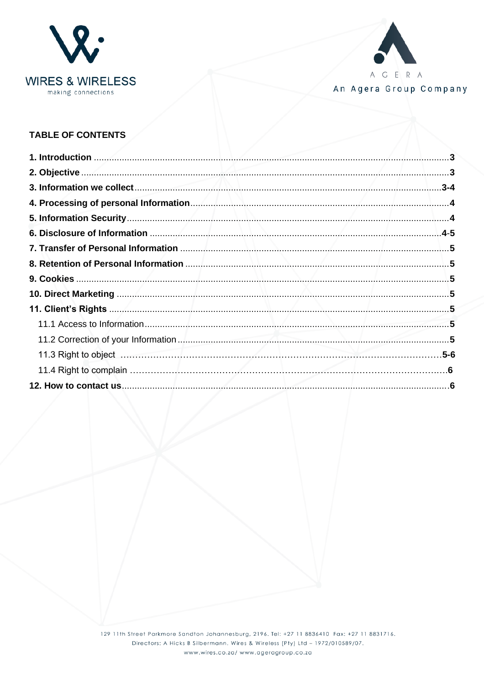



An Agera Group Company

# **TABLE OF CONTENTS**

| سميات |  |
|-------|--|
|       |  |
|       |  |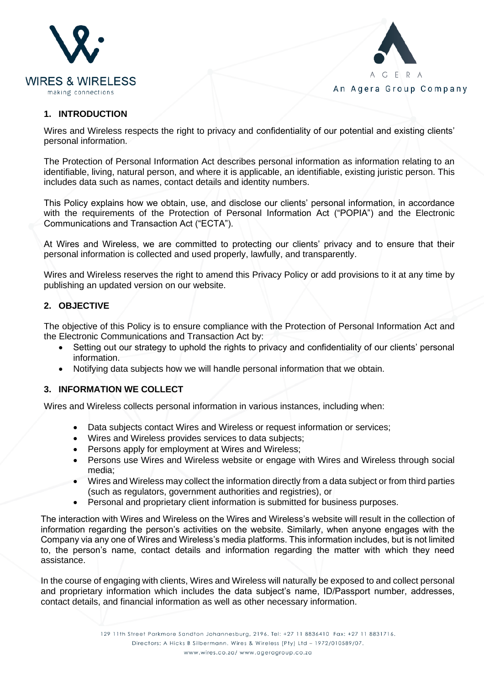



#### **1. INTRODUCTION**

Wires and Wireless respects the right to privacy and confidentiality of our potential and existing clients' personal information.

The Protection of Personal Information Act describes personal information as information relating to an identifiable, living, natural person, and where it is applicable, an identifiable, existing juristic person. This includes data such as names, contact details and identity numbers.

This Policy explains how we obtain, use, and disclose our clients' personal information, in accordance with the requirements of the Protection of Personal Information Act ("POPIA") and the Electronic Communications and Transaction Act ("ECTA").

At Wires and Wireless, we are committed to protecting our clients' privacy and to ensure that their personal information is collected and used properly, lawfully, and transparently.

Wires and Wireless reserves the right to amend this Privacy Policy or add provisions to it at any time by publishing an updated version on our website.

# **2. OBJECTIVE**

The objective of this Policy is to ensure compliance with the Protection of Personal Information Act and the Electronic Communications and Transaction Act by:

- Setting out our strategy to uphold the rights to privacy and confidentiality of our clients' personal information.
- Notifying data subjects how we will handle personal information that we obtain.

#### **3. INFORMATION WE COLLECT**

Wires and Wireless collects personal information in various instances, including when:

- Data subjects contact Wires and Wireless or request information or services;
- Wires and Wireless provides services to data subjects;
- Persons apply for employment at Wires and Wireless;
- Persons use Wires and Wireless website or engage with Wires and Wireless through social media;
- Wires and Wireless may collect the information directly from a data subject or from third parties (such as regulators, government authorities and registries), or
- Personal and proprietary client information is submitted for business purposes.

The interaction with Wires and Wireless on the Wires and Wireless's website will result in the collection of information regarding the person's activities on the website. Similarly, when anyone engages with the Company via any one of Wires and Wireless's media platforms. This information includes, but is not limited to, the person's name, contact details and information regarding the matter with which they need assistance.

In the course of engaging with clients, Wires and Wireless will naturally be exposed to and collect personal and proprietary information which includes the data subject's name, ID/Passport number, addresses, contact details, and financial information as well as other necessary information.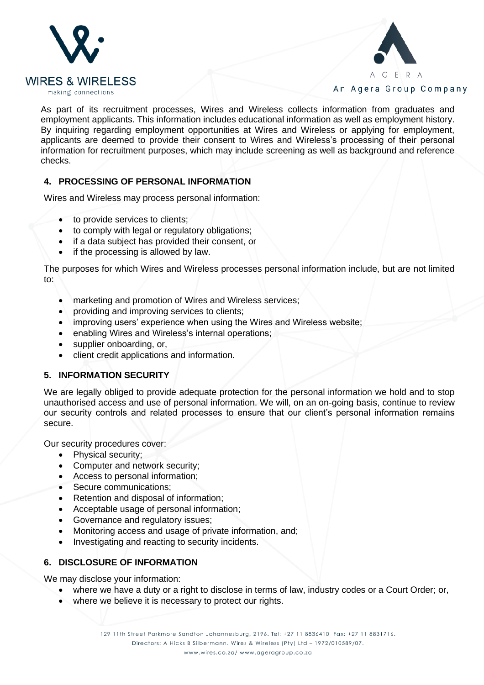



As part of its recruitment processes, Wires and Wireless collects information from graduates and employment applicants. This information includes educational information as well as employment history. By inquiring regarding employment opportunities at Wires and Wireless or applying for employment, applicants are deemed to provide their consent to Wires and Wireless's processing of their personal information for recruitment purposes, which may include screening as well as background and reference checks.

#### **4. PROCESSING OF PERSONAL INFORMATION**

Wires and Wireless may process personal information:

- to provide services to clients;
- to comply with legal or regulatory obligations;
- if a data subject has provided their consent, or
- if the processing is allowed by law.

The purposes for which Wires and Wireless processes personal information include, but are not limited to:

- marketing and promotion of Wires and Wireless services;
- providing and improving services to clients;
- improving users' experience when using the Wires and Wireless website;
- enabling Wires and Wireless's internal operations;
- supplier onboarding, or,
- client credit applications and information.

#### **5. INFORMATION SECURITY**

We are legally obliged to provide adequate protection for the personal information we hold and to stop unauthorised access and use of personal information. We will, on an on-going basis, continue to review our security controls and related processes to ensure that our client's personal information remains secure.

Our security procedures cover:

- Physical security;
- Computer and network security;
- Access to personal information;
- Secure communications;
- Retention and disposal of information;
- Acceptable usage of personal information;
- Governance and regulatory issues;
- Monitoring access and usage of private information, and;
- Investigating and reacting to security incidents.

#### **6. DISCLOSURE OF INFORMATION**

We may disclose your information:

- where we have a duty or a right to disclose in terms of law, industry codes or a Court Order; or,
- where we believe it is necessary to protect our rights.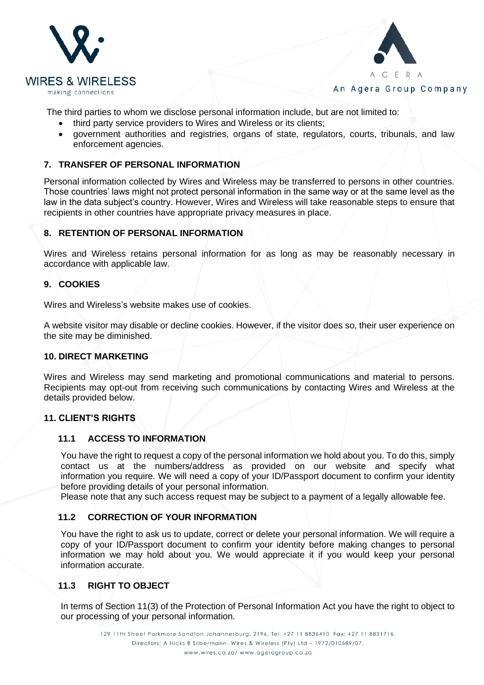



The third parties to whom we disclose personal information include, but are not limited to:

- third party service providers to Wires and Wireless or its clients;
- government authorities and registries, organs of state, regulators, courts, tribunals, and law enforcement agencies.

# **7. TRANSFER OF PERSONAL INFORMATION**

Personal information collected by Wires and Wireless may be transferred to persons in other countries. Those countries' laws might not protect personal information in the same way or at the same level as the law in the data subject's country. However, Wires and Wireless will take reasonable steps to ensure that recipients in other countries have appropriate privacy measures in place.

#### **8. RETENTION OF PERSONAL INFORMATION**

Wires and Wireless retains personal information for as long as may be reasonably necessary in accordance with applicable law.

#### **9. COOKIES**

Wires and Wireless's website makes use of cookies.

A website visitor may disable or decline cookies. However, if the visitor does so, their user experience on the site may be diminished.

#### **10. DIRECT MARKETING**

Wires and Wireless may send marketing and promotional communications and material to persons. Recipients may opt-out from receiving such communications by contacting Wires and Wireless at the details provided below.

#### **11. CLIENT'S RIGHTS**

#### **11.1 ACCESS TO INFORMATION**

You have the right to request a copy of the personal information we hold about you. To do this, simply contact us at the numbers/address as provided on our website and specify what information you require. We will need a copy of your ID/Passport document to confirm your identity before providing details of your personal information.

Please note that any such access request may be subject to a payment of a legally allowable fee.

#### **11.2 CORRECTION OF YOUR INFORMATION**

You have the right to ask us to update, correct or delete your personal information. We will require a copy of your ID/Passport document to confirm your identity before making changes to personal information we may hold about you. We would appreciate it if you would keep your personal information accurate.

#### **11.3 RIGHT TO OBJECT**

In terms of Section 11(3) of the Protection of Personal Information Act you have the right to object to our processing of your personal information.

> 129 11th Street Parkmore Sandton Johannesburg, 2196. Tel: +27 11 8836410 Fax: +27 11 8831716. Directors: A Hicks B Silbermann. Wires & Wireless (Pty) Ltd - 1972/010589/07. www.wires.co.za/ www.ageragroup.co.za